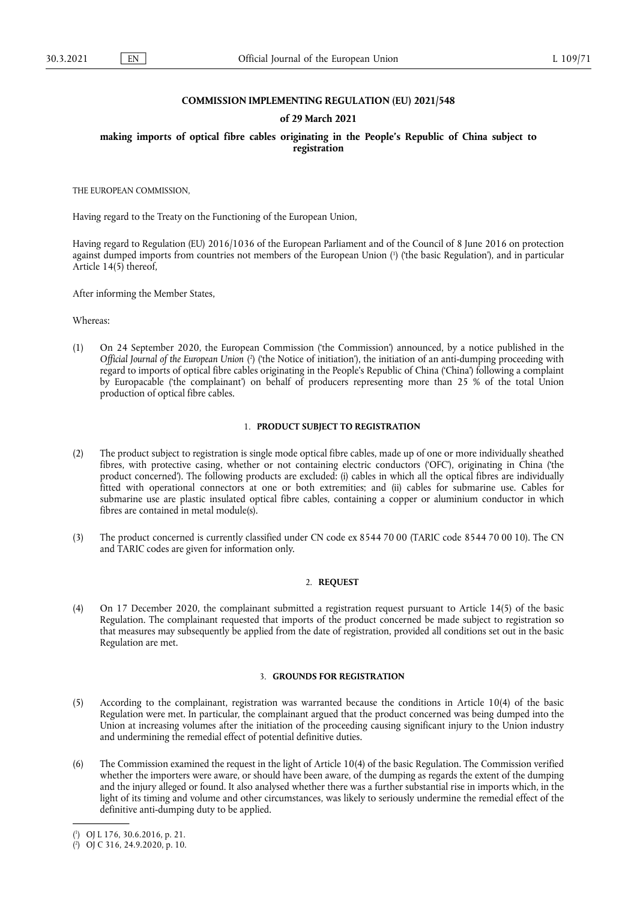# **COMMISSION IMPLEMENTING REGULATION (EU) 2021/548**

#### **of 29 March 2021**

**making imports of optical fibre cables originating in the People's Republic of China subject to registration** 

THE EUROPEAN COMMISSION,

Having regard to the Treaty on the Functioning of the European Union,

<span id="page-0-2"></span>Having regard to Regulation (EU) 2016/1036 of the European Parliament and of the Council of 8 June 2016 on protection against dumped imports from countries not members of the European Union [\(](#page-0-0) 1 ) ('the basic Regulation'), and in particular Article 14(5) thereof,

After informing the Member States,

Whereas:

<span id="page-0-3"></span>(1) On 24 September 2020, the European Commission ('the Commission') announced, by a notice published in the *Official Journal of the European Union* ( 2 [\)](#page-0-1) ('the Notice of initiation'), the initiation of an anti-dumping proceeding with regard to imports of optical fibre cables originating in the People's Republic of China ('China') following a complaint by Europacable ('the complainant') on behalf of producers representing more than 25 % of the total Union production of optical fibre cables.

# 1. **PRODUCT SUBJECT TO REGISTRATION**

- (2) The product subject to registration is single mode optical fibre cables, made up of one or more individually sheathed fibres, with protective casing, whether or not containing electric conductors ('OFC'), originating in China ('the product concerned'). The following products are excluded: (i) cables in which all the optical fibres are individually fitted with operational connectors at one or both extremities; and (ii) cables for submarine use. Cables for submarine use are plastic insulated optical fibre cables, containing a copper or aluminium conductor in which fibres are contained in metal module(s).
- (3) The product concerned is currently classified under CN code ex 8544 70 00 (TARIC code 8544 70 00 10). The CN and TARIC codes are given for information only.

## 2. **REQUEST**

(4) On 17 December 2020, the complainant submitted a registration request pursuant to Article 14(5) of the basic Regulation. The complainant requested that imports of the product concerned be made subject to registration so that measures may subsequently be applied from the date of registration, provided all conditions set out in the basic Regulation are met.

#### 3. **GROUNDS FOR REGISTRATION**

- (5) According to the complainant, registration was warranted because the conditions in Article 10(4) of the basic Regulation were met. In particular, the complainant argued that the product concerned was being dumped into the Union at increasing volumes after the initiation of the proceeding causing significant injury to the Union industry and undermining the remedial effect of potential definitive duties.
- (6) The Commission examined the request in the light of Article 10(4) of the basic Regulation. The Commission verified whether the importers were aware, or should have been aware, of the dumping as regards the extent of the dumping and the injury alleged or found. It also analysed whether there was a further substantial rise in imports which, in the light of its timing and volume and other circumstances, was likely to seriously undermine the remedial effect of the definitive anti-dumping duty to be applied.

<span id="page-0-0"></span>[<sup>\(</sup>](#page-0-2) 1 ) OJ L 176, 30.6.2016, p. 21.

<span id="page-0-1"></span><sup>(</sup> 2 [\)](#page-0-3) OJ C 316, 24.9.2020, p. 10.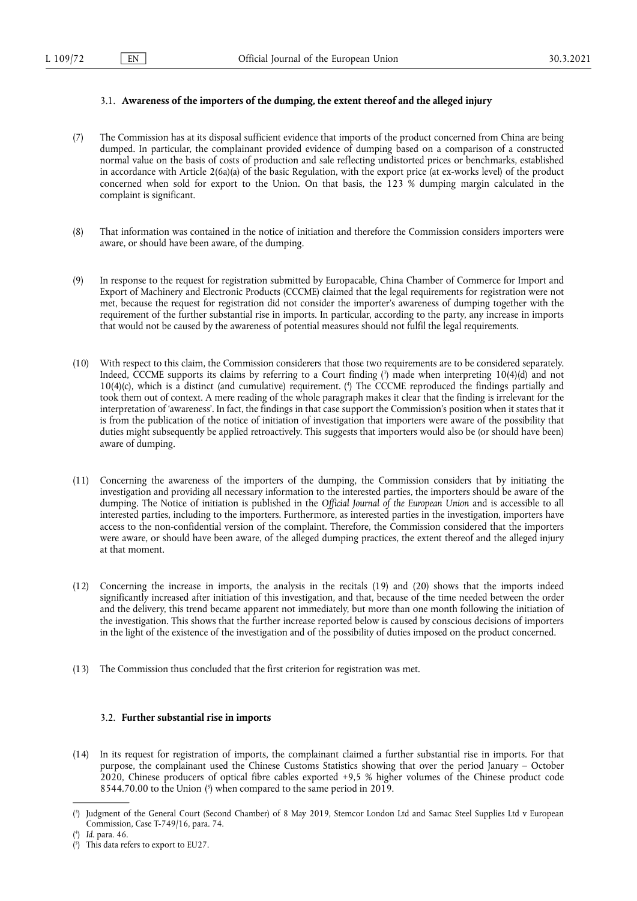# 3.1. **Awareness of the importers of the dumping, the extent thereof and the alleged injury**

- (7) The Commission has at its disposal sufficient evidence that imports of the product concerned from China are being dumped. In particular, the complainant provided evidence of dumping based on a comparison of a constructed normal value on the basis of costs of production and sale reflecting undistorted prices or benchmarks, established in accordance with Article 2(6a)(a) of the basic Regulation, with the export price (at ex-works level) of the product concerned when sold for export to the Union. On that basis, the 123 % dumping margin calculated in the complaint is significant.
- (8) That information was contained in the notice of initiation and therefore the Commission considers importers were aware, or should have been aware, of the dumping.
- (9) In response to the request for registration submitted by Europacable, China Chamber of Commerce for Import and Export of Machinery and Electronic Products (CCCME) claimed that the legal requirements for registration were not met, because the request for registration did not consider the importer's awareness of dumping together with the requirement of the further substantial rise in imports. In particular, according to the party, any increase in imports that would not be caused by the awareness of potential measures should not fulfil the legal requirements.
- <span id="page-1-4"></span><span id="page-1-3"></span>(10) With respect to this claim, the Commission considerers that those two requirements are to be considered separately. Indeed, CCCME supports its claims by referring to a Court finding ( 3 [\)](#page-1-0) made when interpreting 10(4)(d) and not 10(4)(c), which is a distinct (and cumulative) requirement. [\(](#page-1-1) 4 ) The CCCME reproduced the findings partially and took them out of context. A mere reading of the whole paragraph makes it clear that the finding is irrelevant for the interpretation of 'awareness'. In fact, the findings in that case support the Commission's position when it states that it is from the publication of the notice of initiation of investigation that importers were aware of the possibility that duties might subsequently be applied retroactively. This suggests that importers would also be (or should have been) aware of dumping.
- (11) Concerning the awareness of the importers of the dumping, the Commission considers that by initiating the investigation and providing all necessary information to the interested parties, the importers should be aware of the dumping. The Notice of initiation is published in the *Official Journal of the European Union* and is accessible to all interested parties, including to the importers. Furthermore, as interested parties in the investigation, importers have access to the non-confidential version of the complaint. Therefore, the Commission considered that the importers were aware, or should have been aware, of the alleged dumping practices, the extent thereof and the alleged injury at that moment.
- (12) Concerning the increase in imports, the analysis in the recitals (19) and (20) shows that the imports indeed significantly increased after initiation of this investigation, and that, because of the time needed between the order and the delivery, this trend became apparent not immediately, but more than one month following the initiation of the investigation. This shows that the further increase reported below is caused by conscious decisions of importers in the light of the existence of the investigation and of the possibility of duties imposed on the product concerned.
- (13) The Commission thus concluded that the first criterion for registration was met.

# 3.2. **Further substantial rise in imports**

(14) In its request for registration of imports, the complainant claimed a further substantial rise in imports. For that purpose, the complainant used the Chinese Customs Statistics showing that over the period January – October 2020, Chinese producers of optical fibre cables exported +9,5 % higher volumes of the Chinese product code 8544.70.00 to the Union [\(](#page-1-2) 5 ) when compared to the same period in 2019.

<span id="page-1-5"></span><span id="page-1-0"></span>[<sup>\(</sup>](#page-1-3) 3 ) Judgment of the General Court (Second Chamber) of 8 May 2019, Stemcor London Ltd and Samac Steel Supplies Ltd v European Commission, Case T-749/16, para. 74.

<span id="page-1-1"></span>[<sup>\(</sup>](#page-1-4) 4 ) *Id*. para. 46.

<span id="page-1-2"></span><sup>(</sup> 5 [\)](#page-1-5) This data refers to export to EU27.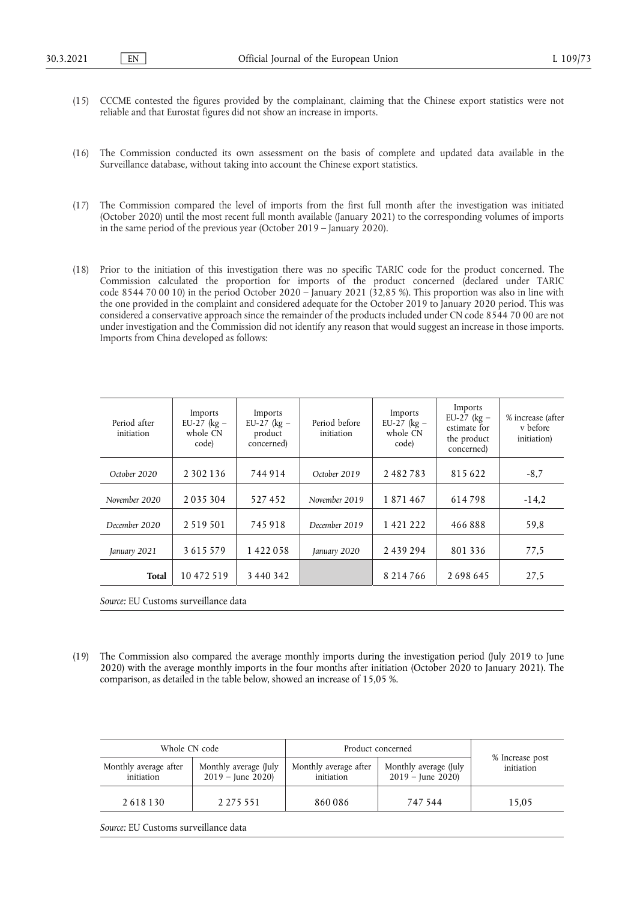- (15) CCCME contested the figures provided by the complainant, claiming that the Chinese export statistics were not reliable and that Eurostat figures did not show an increase in imports.
- (16) The Commission conducted its own assessment on the basis of complete and updated data available in the Surveillance database, without taking into account the Chinese export statistics.
- (17) The Commission compared the level of imports from the first full month after the investigation was initiated (October 2020) until the most recent full month available (January 2021) to the corresponding volumes of imports in the same period of the previous year (October 2019 – January 2020).
- (18) Prior to the initiation of this investigation there was no specific TARIC code for the product concerned. The Commission calculated the proportion for imports of the product concerned (declared under TARIC code 8544 70 00 10) in the period October 2020 – January 2021 (32,85 %). This proportion was also in line with the one provided in the complaint and considered adequate for the October 2019 to January 2020 period. This was considered a conservative approach since the remainder of the products included under CN code 8544 70 00 are not under investigation and the Commission did not identify any reason that would suggest an increase in those imports. Imports from China developed as follows:

| Period after<br>initiation | Imports<br>EU-27 ( $kg -$<br>whole CN<br>code) | Imports<br>EU-27 ( $kg -$<br>product<br>concerned) | Period before<br>initiation | Imports<br>EU-27 ( $kg -$<br>whole CN<br>code) | Imports<br>EU-27 ( $kg -$<br>estimate for<br>the product<br>concerned) | % increase (after<br>v before<br>initiation) |
|----------------------------|------------------------------------------------|----------------------------------------------------|-----------------------------|------------------------------------------------|------------------------------------------------------------------------|----------------------------------------------|
| October 2020               | 2 3 0 2 1 3 6                                  | 744914                                             | October 2019                | 2482783                                        | 815622                                                                 | $-8,7$                                       |
| November 2020              | 2035304                                        | 527452                                             | November 2019               | 1871467                                        | 614798                                                                 | $-14.2$                                      |
| December 2020              | 2 5 1 9 5 0 1                                  | 745918                                             | December 2019               | 1 4 2 1 2 2 2                                  | 466888                                                                 | 59,8                                         |
| January 2021               | 3615579                                        | 1422058                                            | January 2020                | 2 4 3 9 2 9 4                                  | 801 336                                                                | 77.5                                         |
| <b>Total</b>               | 10 472 519                                     | 3 440 342                                          |                             | 8 2 1 4 7 6 6                                  | 2698645                                                                | 27,5                                         |

*Source:* EU Customs surveillance data

(19) The Commission also compared the average monthly imports during the investigation period (July 2019 to June 2020) with the average monthly imports in the four months after initiation (October 2020 to January 2021). The comparison, as detailed in the table below, showed an increase of 15,05 %.

| Whole CN code                       |                                              | Product concerned                   |                                              |                               |
|-------------------------------------|----------------------------------------------|-------------------------------------|----------------------------------------------|-------------------------------|
| Monthly average after<br>initiation | Monthly average (July<br>$2019 -$ June 2020) | Monthly average after<br>initiation | Monthly average (July<br>$2019 -$ June 2020) | % Increase post<br>initiation |
| 2 6 1 8 1 3 0                       | 2 2 7 5 5 5 1                                | 860086                              | 747 544                                      | 15.05                         |

*Source:* EU Customs surveillance data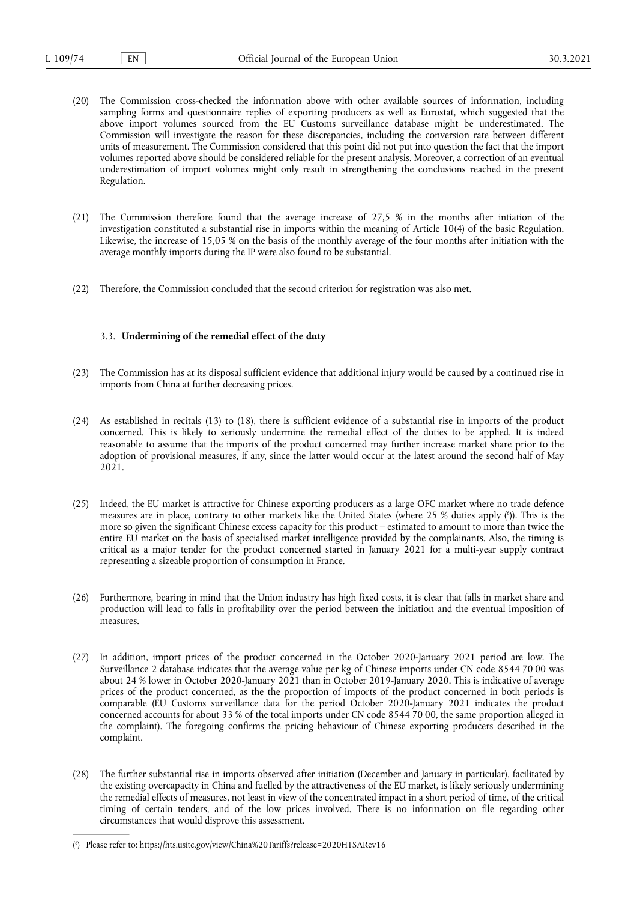- (20) The Commission cross-checked the information above with other available sources of information, including sampling forms and questionnaire replies of exporting producers as well as Eurostat, which suggested that the above import volumes sourced from the EU Customs surveillance database might be underestimated. The Commission will investigate the reason for these discrepancies, including the conversion rate between different units of measurement. The Commission considered that this point did not put into question the fact that the import volumes reported above should be considered reliable for the present analysis. Moreover, a correction of an eventual underestimation of import volumes might only result in strengthening the conclusions reached in the present Regulation.
- (21) The Commission therefore found that the average increase of 27,5 % in the months after intiation of the investigation constituted a substantial rise in imports within the meaning of Article 10(4) of the basic Regulation. Likewise, the increase of 15,05 % on the basis of the monthly average of the four months after initiation with the average monthly imports during the IP were also found to be substantial.
- (22) Therefore, the Commission concluded that the second criterion for registration was also met.

# 3.3. **Undermining of the remedial effect of the duty**

- (23) The Commission has at its disposal sufficient evidence that additional injury would be caused by a continued rise in imports from China at further decreasing prices.
- (24) As established in recitals (13) to (18), there is sufficient evidence of a substantial rise in imports of the product concerned. This is likely to seriously undermine the remedial effect of the duties to be applied. It is indeed reasonable to assume that the imports of the product concerned may further increase market share prior to the adoption of provisional measures, if any, since the latter would occur at the latest around the second half of May 2021.
- <span id="page-3-1"></span>(25) Indeed, the EU market is attractive for Chinese exporting producers as a large OFC market where no trade defence measures are in place, contrary to other markets like the United States (where 25 % duties apply (°[\)\)](#page-3-0). This is the more so given the significant Chinese excess capacity for this product – estimated to amount to more than twice the entire EU market on the basis of specialised market intelligence provided by the complainants. Also, the timing is critical as a major tender for the product concerned started in January 2021 for a multi-year supply contract representing a sizeable proportion of consumption in France.
- (26) Furthermore, bearing in mind that the Union industry has high fixed costs, it is clear that falls in market share and production will lead to falls in profitability over the period between the initiation and the eventual imposition of measures.
- (27) In addition, import prices of the product concerned in the October 2020-January 2021 period are low. The Surveillance 2 database indicates that the average value per kg of Chinese imports under CN code 8544 70 00 was about 24 % lower in October 2020-January 2021 than in October 2019-January 2020. This is indicative of average prices of the product concerned, as the the proportion of imports of the product concerned in both periods is comparable (EU Customs surveillance data for the period October 2020-January 2021 indicates the product concerned accounts for about 33 % of the total imports under CN code 8544 70 00, the same proportion alleged in the complaint). The foregoing confirms the pricing behaviour of Chinese exporting producers described in the complaint.
- (28) The further substantial rise in imports observed after initiation (December and January in particular), facilitated by the existing overcapacity in China and fuelled by the attractiveness of the EU market, is likely seriously undermining the remedial effects of measures, not least in view of the concentrated impact in a short period of time, of the critical timing of certain tenders, and of the low prices involved. There is no information on file regarding other circumstances that would disprove this assessment.

<span id="page-3-0"></span>[<sup>\(</sup>](#page-3-1) 6 ) Please refer to: <https://hts.usitc.gov/view/China%20Tariffs?release=2020HTSARev16>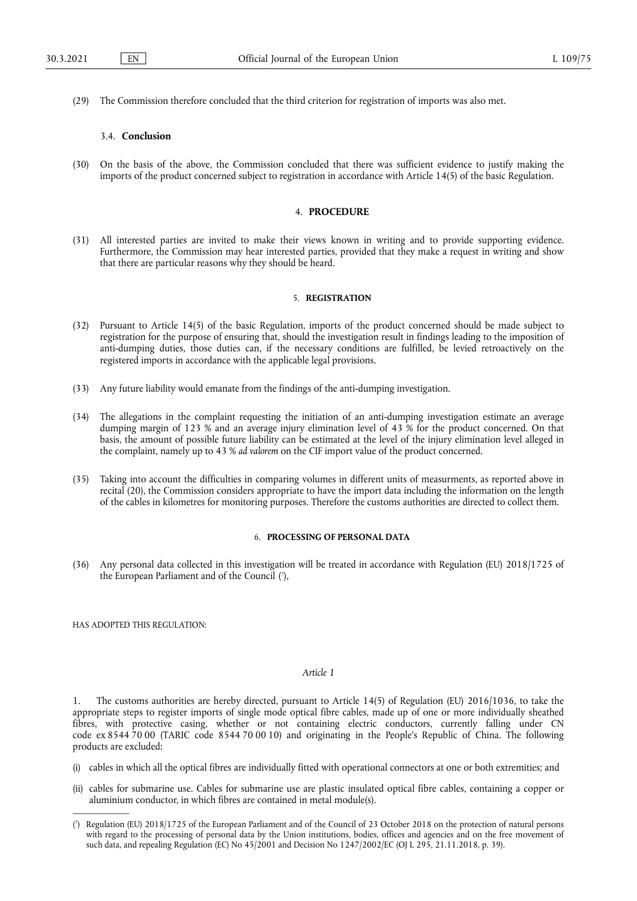(29) The Commission therefore concluded that the third criterion for registration of imports was also met.

# 3.4. **Conclusion**

(30) On the basis of the above, the Commission concluded that there was sufficient evidence to justify making the imports of the product concerned subject to registration in accordance with Article 14(5) of the basic Regulation.

#### 4. **PROCEDURE**

(31) All interested parties are invited to make their views known in writing and to provide supporting evidence. Furthermore, the Commission may hear interested parties, provided that they make a request in writing and show that there are particular reasons why they should be heard.

### 5. **REGISTRATION**

- (32) Pursuant to Article 14(5) of the basic Regulation, imports of the product concerned should be made subject to registration for the purpose of ensuring that, should the investigation result in findings leading to the imposition of anti-dumping duties, those duties can, if the necessary conditions are fulfilled, be levied retroactively on the registered imports in accordance with the applicable legal provisions.
- (33) Any future liability would emanate from the findings of the anti-dumping investigation.
- (34) The allegations in the complaint requesting the initiation of an anti-dumping investigation estimate an average dumping margin of 123 % and an average injury elimination level of 43 % for the product concerned. On that basis, the amount of possible future liability can be estimated at the level of the injury elimination level alleged in the complaint, namely up to 43 % *ad valorem* on the CIF import value of the product concerned.
- (35) Taking into account the difficulties in comparing volumes in different units of measurments, as reported above in recital (20), the Commission considers appropriate to have the import data including the information on the length of the cables in kilometres for monitoring purposes. Therefore the customs authorities are directed to collect them.

#### 6. **PROCESSING OF PERSONAL DATA**

<span id="page-4-1"></span>(36) Any personal data collected in this investigation will be treated in accordance with Regulation (EU) 2018/1725 of the European Parliament and of the Council (7[\),](#page-4-0)

HAS ADOPTED THIS REGULATION:

#### *Article 1*

1. The customs authorities are hereby directed, pursuant to Article 14(5) of Regulation (EU) 2016/1036, to take the appropriate steps to register imports of single mode optical fibre cables, made up of one or more individually sheathed fibres, with protective casing, whether or not containing electric conductors, currently falling under CN code ex 8544 70 00 (TARIC code 8544 70 00 10) and originating in the People's Republic of China. The following products are excluded:

- (i) cables in which all the optical fibres are individually fitted with operational connectors at one or both extremities; and
- (ii) cables for submarine use. Cables for submarine use are plastic insulated optical fibre cables, containing a copper or aluminium conductor, in which fibres are contained in metal module(s).

<span id="page-4-0"></span>[<sup>\(</sup>](#page-4-1) 7 ) Regulation (EU) 2018/1725 of the European Parliament and of the Council of 23 October 2018 on the protection of natural persons with regard to the processing of personal data by the Union institutions, bodies, offices and agencies and on the free movement of such data, and repealing Regulation (EC) No 45/2001 and Decision No 1247/2002/EC (OJ L 295, 21.11.2018, p. 39).